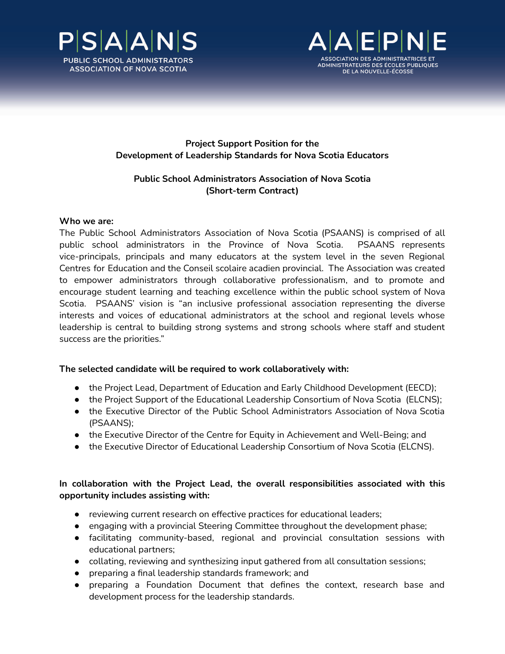



## **Project Support Position for the Development of Leadership Standards for Nova Scotia Educators**

# **Public School Administrators Association of Nova Scotia (Short-term Contract)**

## **Who we are:**

The Public School Administrators Association of Nova Scotia (PSAANS) is comprised of all public school administrators in the Province of Nova Scotia. PSAANS represents vice-principals, principals and many educators at the system level in the seven Regional Centres for Education and the Conseil scolaire acadien provincial. The Association was created to empower administrators through collaborative professionalism, and to promote and encourage student learning and teaching excellence within the public school system of Nova Scotia. PSAANS' vision is "an inclusive professional association representing the diverse interests and voices of educational administrators at the school and regional levels whose leadership is central to building strong systems and strong schools where staff and student success are the priorities."

## **The selected candidate will be required to work collaboratively with:**

- the Project Lead, Department of Education and Early Childhood Development (EECD);
- the Project Support of the Educational Leadership Consortium of Nova Scotia (ELCNS);
- the Executive Director of the Public School Administrators Association of Nova Scotia (PSAANS);
- the Executive Director of the Centre for Equity in Achievement and Well-Being; and
- the Executive Director of Educational Leadership Consortium of Nova Scotia (ELCNS).

## **In collaboration with the Project Lead, the overall responsibilities associated with this opportunity includes assisting with:**

- reviewing current research on effective practices for educational leaders;
- engaging with a provincial Steering Committee throughout the development phase;
- facilitating community-based, regional and provincial consultation sessions with educational partners;
- collating, reviewing and synthesizing input gathered from all consultation sessions;
- preparing a final leadership standards framework; and
- preparing a Foundation Document that defines the context, research base and development process for the leadership standards.